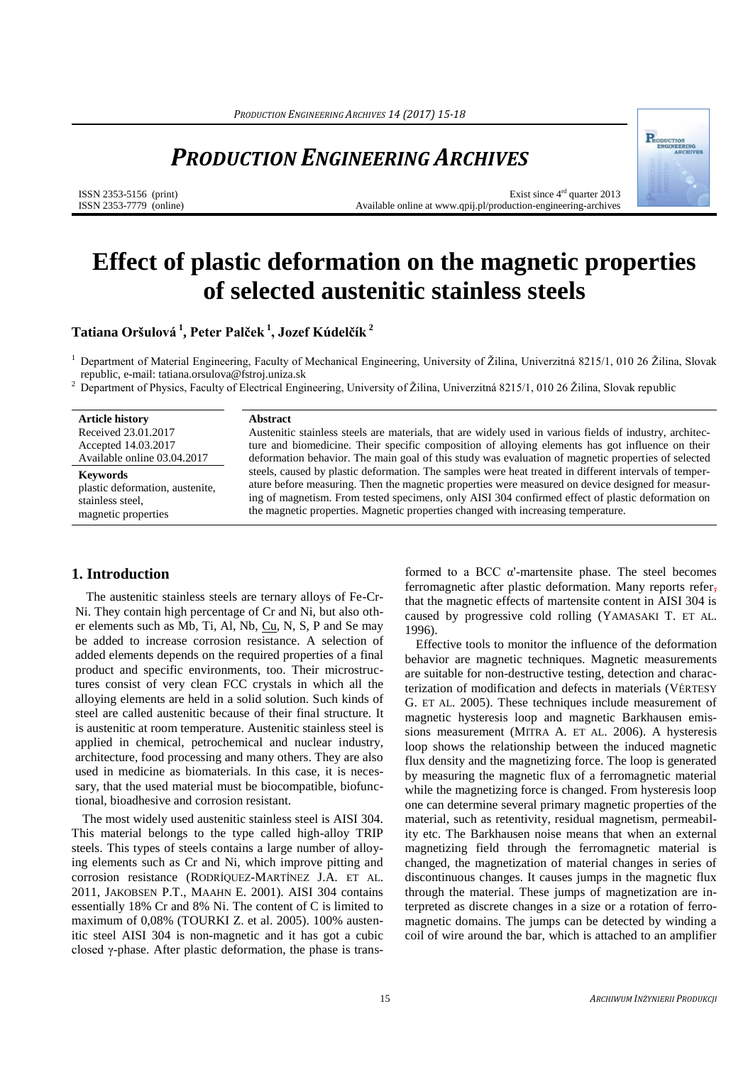## *PRODUCTION ENGINEERING ARCHIVES*

ISSN 2353-5156 (print) ISSN 2353-7779 (online)

Exist since 4rd quarter 2013 Available online at www.qpij.pl/production-engineering-archives

# **Effect of plastic deformation on the magnetic properties of selected austenitic stainless steels**

**Tatiana Oršulová <sup>1</sup> , Peter Palček <sup>1</sup> , Jozef Kúdelčík <sup>2</sup>**

<sup>1</sup> Department of Material Engineering, Faculty of Mechanical Engineering, University of Žilina, Univerzitná 8215/1, 010 26 Žilina, Slovak republic, e-mail[: tatiana.orsulova@fstroj.uniza.sk](mailto:tatiana.orsulova@fstroj.uniza.sk)

<sup>2</sup> Department of Physics, Faculty of Electrical Engineering, University of Žilina, Univerzitná 8215/1, 010 26 Žilina, Slovak republic

**Article history** Received 23.01.2017 Accepted 14.03.2017 Available online 03.04.2017

**Keywords**  plastic deformation, austenite, stainless steel, magnetic properties

#### **Abstract**

Austenitic stainless steels are materials, that are widely used in various fields of industry, architecture and biomedicine. Their specific composition of alloying elements has got influence on their deformation behavior. The main goal of this study was evaluation of magnetic properties of selected steels, caused by plastic deformation. The samples were heat treated in different intervals of temperature before measuring. Then the magnetic properties were measured on device designed for measuring of magnetism. From tested specimens, only AISI 304 confirmed effect of plastic deformation on the magnetic properties. Magnetic properties changed with increasing temperature.

#### **1. Introduction**

The austenitic stainless steels are ternary alloys of Fe-Cr-Ni. They contain high percentage of Cr and Ni, but also other elements such as Mb, Ti, Al, Nb, [Cu,](https://www.britannica.com/science/copper) N, S, P and Se may be added to increase corrosion resistance. A selection of added elements depends on the required properties of a final product and specific environments, too. Their microstructures consist of very clean FCC crystals in which all the alloying elements are held in a solid solution. Such kinds of steel are called austenitic because of their final structure. It is austenitic at room temperature. Austenitic stainless steel is applied in chemical, petrochemical and nuclear industry, architecture, food processing and many others. They are also used in medicine as biomaterials. In this case, it is necessary, that the used material must be biocompatible, biofunctional, bioadhesive and corrosion resistant.

The most widely used austenitic stainless steel is AISI 304. This material belongs to the type called high-alloy TRIP steels. This types of steels contains a large number of alloying elements such as Cr and Ni, which improve pitting and corrosion resistance (RODRÍQUEZ-MARTÍNEZ J.A. ET AL. 2011, JAKOBSEN P.T., MAAHN E. 2001). AISI 304 contains essentially 18% Cr and 8% Ni. The content of C is limited to maximum of 0,08% (TOURKI Z. et al. 2005). 100% austenitic steel AISI 304 is non-magnetic and it has got a cubic closed γ-phase. After plastic deformation, the phase is transformed to a BCC α'-martensite phase. The steel becomes ferromagnetic after plastic deformation. Many reports refer, that the magnetic effects of martensite content in AISI 304 is caused by progressive cold rolling (YAMASAKI T. ET AL. 1996).

Effective tools to monitor the influence of the deformation behavior are magnetic techniques. Magnetic measurements are suitable for non-destructive testing, detection and characterization of modification and defects in materials (VÉRTESY G. ET AL. 2005). These techniques include measurement of magnetic hysteresis loop and magnetic Barkhausen emissions measurement (MITRA A. ET AL. 2006). A hysteresis loop shows the relationship between the induced magnetic flux density and the magnetizing force. The loop is generated by measuring the magnetic flux of a ferromagnetic material while the magnetizing force is changed. From hysteresis loop one can determine several primary magnetic properties of the material, such as retentivity, residual magnetism, permeability etc. The Barkhausen noise means that when an external magnetizing field through the ferromagnetic material is changed, the magnetization of material changes in series of discontinuous changes. It causes jumps in the magnetic flux through the material. These jumps of magnetization are interpreted as discrete changes in a size or a rotation of ferromagnetic domains. The jumps can be detected by winding a coil of wire around the bar, which is attached to an amplifier

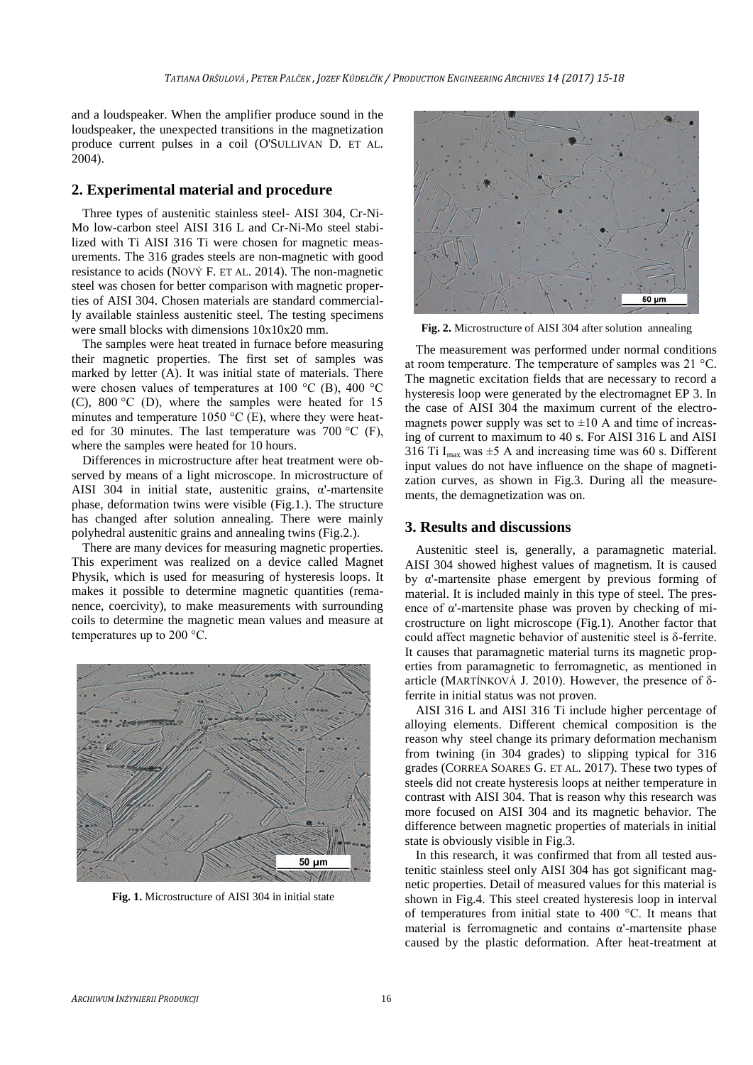and a loudspeaker. When the amplifier produce sound in the loudspeaker, the unexpected transitions in the magnetization produce current pulses in a coil (O'SULLIVAN D. ET AL. 2004).

#### **2. Experimental material and procedure**

Three types of austenitic stainless steel- AISI 304, Cr-Ni-Mo low-carbon steel AISI 316 L and Cr-Ni-Mo steel stabilized with Ti AISI 316 Ti were chosen for magnetic measurements. The 316 grades steels are non-magnetic with good resistance to acids (NOVÝ F. ET AL. 2014). The non-magnetic steel was chosen for better comparison with magnetic properties of AISI 304. Chosen materials are standard commercially available stainless austenitic steel. The testing specimens were small blocks with dimensions 10x10x20 mm.

The samples were heat treated in furnace before measuring their magnetic properties. The first set of samples was marked by letter (A). It was initial state of materials. There were chosen values of temperatures at 100 °C (B), 400 °C (C), 800 °C (D), where the samples were heated for 15 minutes and temperature 1050  $^{\circ}$ C (E), where they were heated for 30 minutes. The last temperature was 700  $^{\circ}$ C (F), where the samples were heated for 10 hours.

Differences in microstructure after heat treatment were observed by means of a light microscope. In microstructure of AISI 304 in initial state, austenitic grains,  $\alpha$ -martensite phase, deformation twins were visible (Fig.1.). The structure has changed after solution annealing. There were mainly polyhedral austenitic grains and annealing twins (Fig.2.).

There are many devices for measuring magnetic properties. This experiment was realized on a device called Magnet Physik, which is used for measuring of hysteresis loops. It makes it possible to determine magnetic quantities (remanence, coercivity), to make measurements with surrounding coils to determine the magnetic mean values and measure at temperatures up to 200 °C.



**Fig. 1.** Microstructure of AISI 304 in initial state



**Fig. 2.** Microstructure of AISI 304 after solution annealing

The measurement was performed under normal conditions at room temperature. The temperature of samples was 21 °C. The magnetic excitation fields that are necessary to record a hysteresis loop were generated by the electromagnet EP 3. In the case of AISI 304 the maximum current of the electromagnets power supply was set to  $\pm 10$  A and time of increasing of current to maximum to 40 s. For AISI 316 L and AISI 316 Ti  $I_{max}$  was  $\pm$ 5 A and increasing time was 60 s. Different input values do not have influence on the shape of magnetization curves, as shown in Fig.3. During all the measurements, the demagnetization was on.

#### **3. Results and discussions**

Austenitic steel is, generally, a paramagnetic material. AISI 304 showed highest values of magnetism. It is caused by α'-martensite phase emergent by previous forming of material. It is included mainly in this type of steel. The presence of  $\alpha$ '-martensite phase was proven by checking of microstructure on light microscope (Fig.1). Another factor that could affect magnetic behavior of austenitic steel is δ-ferrite. It causes that paramagnetic material turns its magnetic properties from paramagnetic to ferromagnetic, as mentioned in article (MARTÍNKOVÁ J. 2010). However, the presence of δferrite in initial status was not proven.

AISI 316 L and AISI 316 Ti include higher percentage of alloying elements. Different chemical composition is the reason why steel change its primary deformation mechanism from twining (in 304 grades) to slipping typical for 316 grades (CORREA SOARES G. ET AL. 2017). These two types of steels did not create hysteresis loops at neither temperature in contrast with AISI 304. That is reason why this research was more focused on AISI 304 and its magnetic behavior. The difference between magnetic properties of materials in initial state is obviously visible in Fig.3.

In this research, it was confirmed that from all tested austenitic stainless steel only AISI 304 has got significant magnetic properties. Detail of measured values for this material is shown in Fig.4. This steel created hysteresis loop in interval of temperatures from initial state to 400 °C. It means that material is ferromagnetic and contains  $\alpha$ '-martensite phase caused by the plastic deformation. After heat-treatment at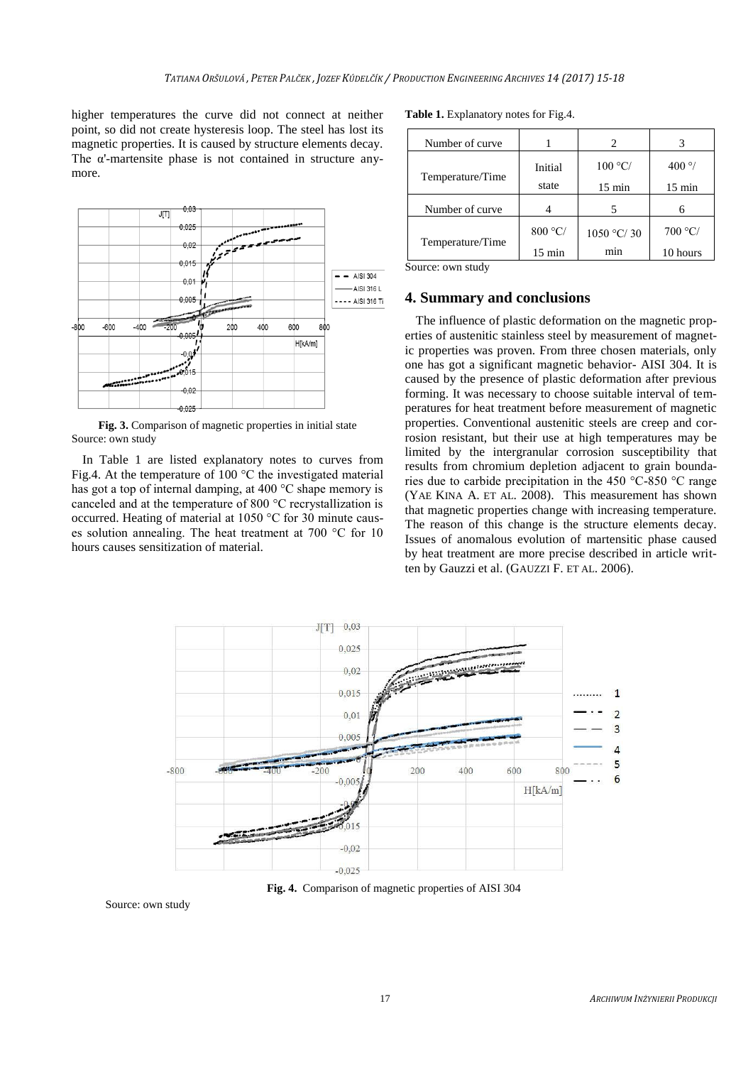higher temperatures the curve did not connect at neither point, so did not create hysteresis loop. The steel has lost its magnetic properties. It is caused by structure elements decay. The α'-martensite phase is not contained in structure anymore.



**Fig. 3.** Comparison of magnetic properties in initial state Source: own study

In Table 1 are listed explanatory notes to curves from Fig.4. At the temperature of 100 °C the investigated material has got a top of internal damping, at 400 °C shape memory is canceled and at the temperature of 800 °C recrystallization is occurred. Heating of material at 1050 °C for 30 minute causes solution annealing. The heat treatment at 700 °C for 10 hours causes sensitization of material.

**Table 1.** Explanatory notes for Fig.4.

| Number of curve  |                  | 2                |                  |
|------------------|------------------|------------------|------------------|
| Temperature/Time | Initial          | 100 °C/          | 400 $\degree$ /  |
|                  | state            | $15 \text{ min}$ | $15 \text{ min}$ |
| Number of curve  |                  |                  | 6                |
| Temperature/Time | 800 °C/          | 1050 °C/30       | 700 °C           |
|                  | $15 \text{ min}$ | min              | 10 hours         |

Source: own study

#### **4. Summary and conclusions**

The influence of plastic deformation on the magnetic properties of austenitic stainless steel by measurement of magnetic properties was proven. From three chosen materials, only one has got a significant magnetic behavior- AISI 304. It is caused by the presence of plastic deformation after previous forming. It was necessary to choose suitable interval of temperatures for heat treatment before measurement of magnetic properties. Conventional austenitic steels are creep and corrosion resistant, but their use at high temperatures may be limited by the intergranular corrosion susceptibility that results from chromium depletion adjacent to grain boundaries due to carbide precipitation in the 450 °C-850 °C range (YAE KINA A. ET AL. 2008). This measurement has shown that magnetic properties change with increasing temperature. The reason of this change is the structure elements decay. Issues of anomalous evolution of martensitic phase caused by heat treatment are more precise described in article written by Gauzzi et al. (GAUZZI F. ET AL. 2006).



**Fig. 4.** Comparison of magnetic properties of AISI 304

Source: own study